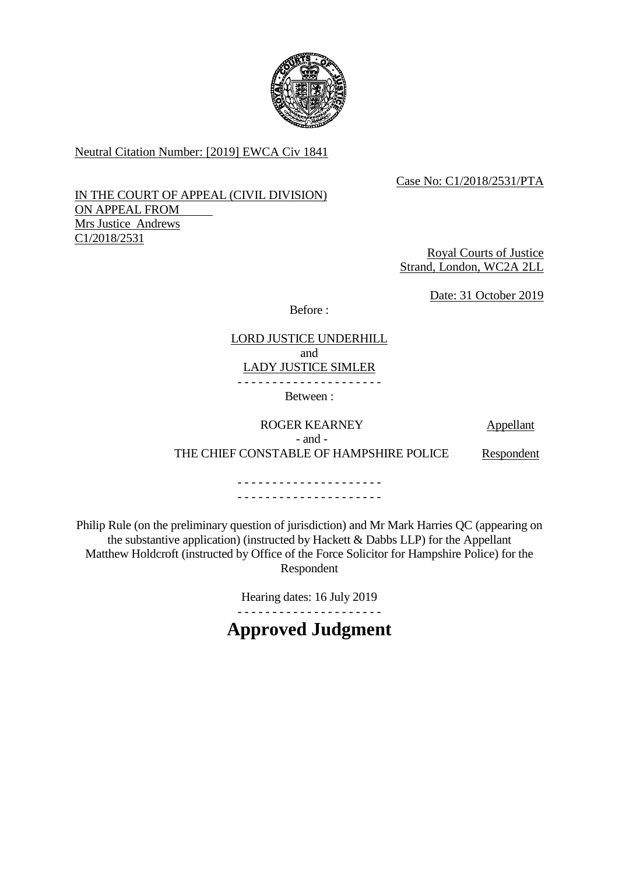

Neutral Citation Number: [2019] EWCA Civ 1841

# Case No: C1/2018/2531/PTA

## IN THE COURT OF APPEAL (CIVIL DIVISION) ON APPEAL FROM Mrs Justice Andrews C1/2018/2531

Royal Courts of Justice Strand, London, WC2A 2LL

Date: 31 October 2019

Before :

# LORD JUSTICE UNDERHILL and LADY JUSTICE SIMLER

- - - - - - - - - - - - - - - - - - - - -

Between :

# ROGER KEARNEY Appellant - and - THE CHIEF CONSTABLE OF HAMPSHIRE POLICE Respondent

- - - - - - - - - - - - - - - - - - - - - - - - - - - - - - - - - - - - - - - - - -

Philip Rule (on the preliminary question of jurisdiction) and Mr Mark Harries QC (appearing on the substantive application) (instructed by Hackett & Dabbs LLP) for the Appellant Matthew Holdcroft (instructed by Office of the Force Solicitor for Hampshire Police) for the Respondent

Hearing dates: 16 July 2019

- - - - - - - - - - - - - - - - - - - - -

# **Approved Judgment**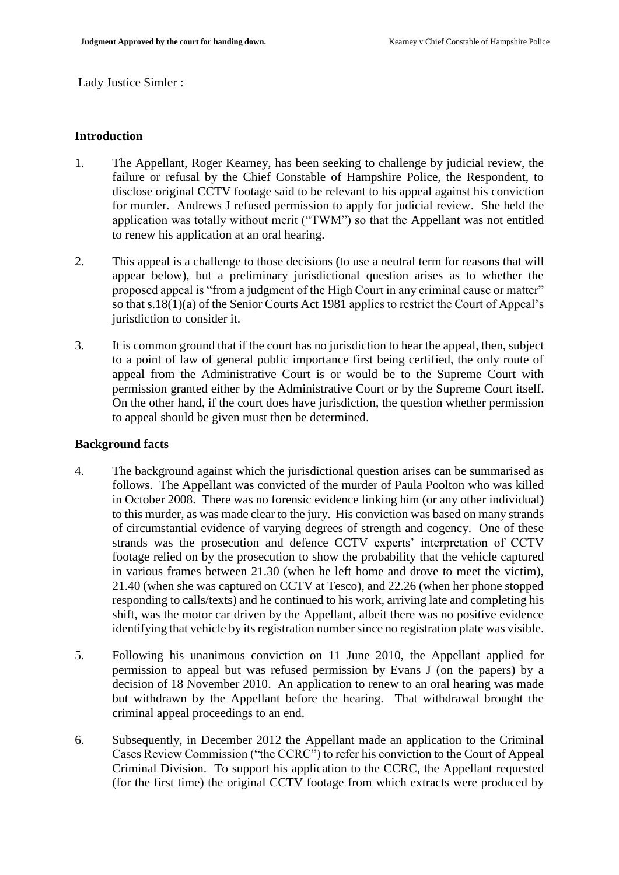Lady Justice Simler :

#### **Introduction**

- 1. The Appellant, Roger Kearney, has been seeking to challenge by judicial review, the failure or refusal by the Chief Constable of Hampshire Police, the Respondent, to disclose original CCTV footage said to be relevant to his appeal against his conviction for murder. Andrews J refused permission to apply for judicial review. She held the application was totally without merit ("TWM") so that the Appellant was not entitled to renew his application at an oral hearing.
- 2. This appeal is a challenge to those decisions (to use a neutral term for reasons that will appear below), but a preliminary jurisdictional question arises as to whether the proposed appeal is "from a judgment of the High Court in any criminal cause or matter" so that s.18(1)(a) of the Senior Courts Act 1981 applies to restrict the Court of Appeal's jurisdiction to consider it.
- 3. It is common ground that if the court has no jurisdiction to hear the appeal, then, subject to a point of law of general public importance first being certified, the only route of appeal from the Administrative Court is or would be to the Supreme Court with permission granted either by the Administrative Court or by the Supreme Court itself. On the other hand, if the court does have jurisdiction, the question whether permission to appeal should be given must then be determined.

#### **Background facts**

- 4. The background against which the jurisdictional question arises can be summarised as follows. The Appellant was convicted of the murder of Paula Poolton who was killed in October 2008. There was no forensic evidence linking him (or any other individual) to this murder, as was made clear to the jury. His conviction was based on many strands of circumstantial evidence of varying degrees of strength and cogency. One of these strands was the prosecution and defence CCTV experts' interpretation of CCTV footage relied on by the prosecution to show the probability that the vehicle captured in various frames between 21.30 (when he left home and drove to meet the victim), 21.40 (when she was captured on CCTV at Tesco), and 22.26 (when her phone stopped responding to calls/texts) and he continued to his work, arriving late and completing his shift, was the motor car driven by the Appellant, albeit there was no positive evidence identifying that vehicle by its registration number since no registration plate was visible.
- 5. Following his unanimous conviction on 11 June 2010, the Appellant applied for permission to appeal but was refused permission by Evans J (on the papers) by a decision of 18 November 2010. An application to renew to an oral hearing was made but withdrawn by the Appellant before the hearing. That withdrawal brought the criminal appeal proceedings to an end.
- 6. Subsequently, in December 2012 the Appellant made an application to the Criminal Cases Review Commission ("the CCRC") to refer his conviction to the Court of Appeal Criminal Division. To support his application to the CCRC, the Appellant requested (for the first time) the original CCTV footage from which extracts were produced by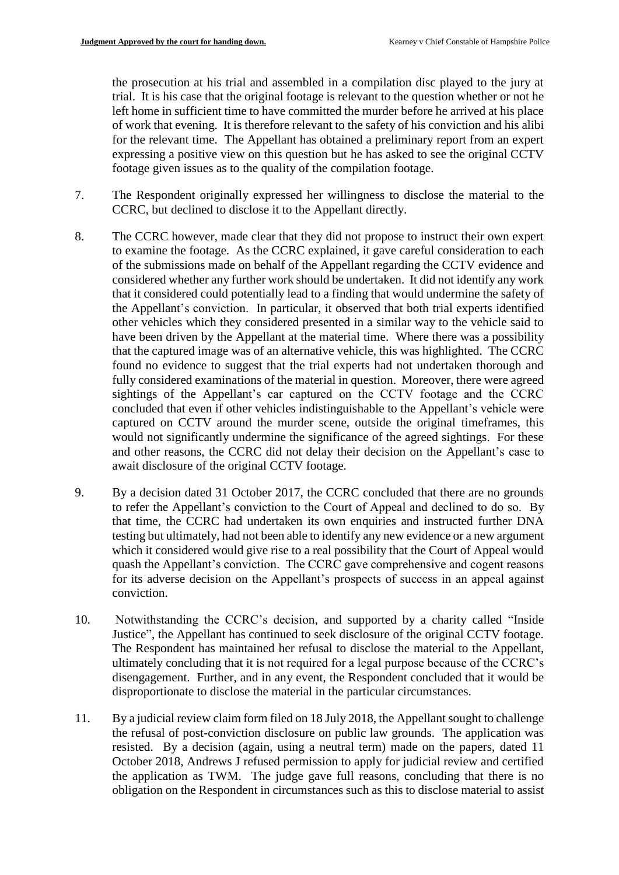the prosecution at his trial and assembled in a compilation disc played to the jury at trial. It is his case that the original footage is relevant to the question whether or not he left home in sufficient time to have committed the murder before he arrived at his place of work that evening. It is therefore relevant to the safety of his conviction and his alibi for the relevant time. The Appellant has obtained a preliminary report from an expert expressing a positive view on this question but he has asked to see the original CCTV footage given issues as to the quality of the compilation footage.

- 7. The Respondent originally expressed her willingness to disclose the material to the CCRC, but declined to disclose it to the Appellant directly.
- 8. The CCRC however, made clear that they did not propose to instruct their own expert to examine the footage. As the CCRC explained, it gave careful consideration to each of the submissions made on behalf of the Appellant regarding the CCTV evidence and considered whether any further work should be undertaken. It did not identify any work that it considered could potentially lead to a finding that would undermine the safety of the Appellant's conviction. In particular, it observed that both trial experts identified other vehicles which they considered presented in a similar way to the vehicle said to have been driven by the Appellant at the material time. Where there was a possibility that the captured image was of an alternative vehicle, this was highlighted. The CCRC found no evidence to suggest that the trial experts had not undertaken thorough and fully considered examinations of the material in question. Moreover, there were agreed sightings of the Appellant's car captured on the CCTV footage and the CCRC concluded that even if other vehicles indistinguishable to the Appellant's vehicle were captured on CCTV around the murder scene, outside the original timeframes, this would not significantly undermine the significance of the agreed sightings. For these and other reasons, the CCRC did not delay their decision on the Appellant's case to await disclosure of the original CCTV footage.
- 9. By a decision dated 31 October 2017, the CCRC concluded that there are no grounds to refer the Appellant's conviction to the Court of Appeal and declined to do so. By that time, the CCRC had undertaken its own enquiries and instructed further DNA testing but ultimately, had not been able to identify any new evidence or a new argument which it considered would give rise to a real possibility that the Court of Appeal would quash the Appellant's conviction. The CCRC gave comprehensive and cogent reasons for its adverse decision on the Appellant's prospects of success in an appeal against conviction.
- 10. Notwithstanding the CCRC's decision, and supported by a charity called "Inside Justice", the Appellant has continued to seek disclosure of the original CCTV footage. The Respondent has maintained her refusal to disclose the material to the Appellant, ultimately concluding that it is not required for a legal purpose because of the CCRC's disengagement. Further, and in any event, the Respondent concluded that it would be disproportionate to disclose the material in the particular circumstances.
- 11. By a judicial review claim form filed on 18 July 2018, the Appellant sought to challenge the refusal of post-conviction disclosure on public law grounds. The application was resisted. By a decision (again, using a neutral term) made on the papers, dated 11 October 2018, Andrews J refused permission to apply for judicial review and certified the application as TWM. The judge gave full reasons, concluding that there is no obligation on the Respondent in circumstances such as this to disclose material to assist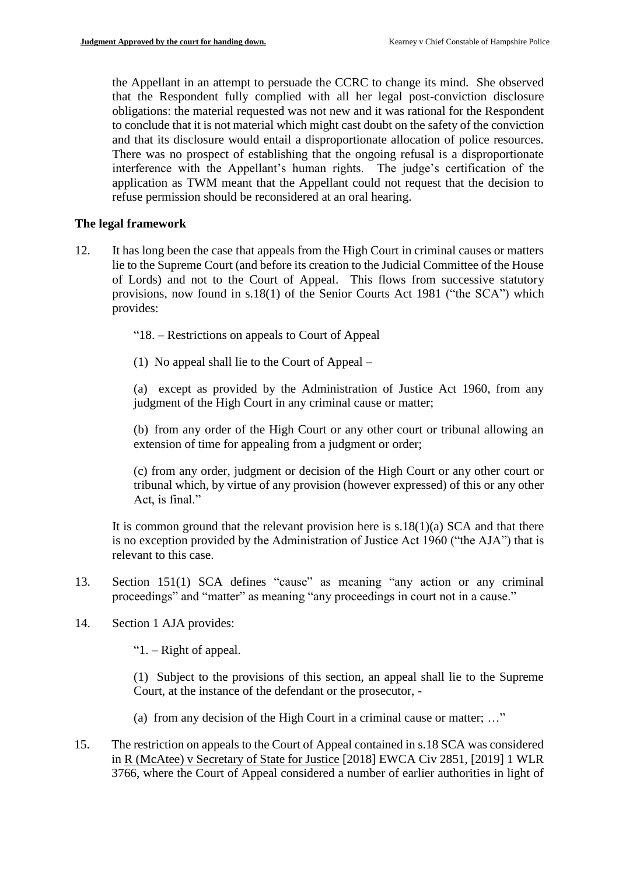the Appellant in an attempt to persuade the CCRC to change its mind. She observed that the Respondent fully complied with all her legal post-conviction disclosure obligations: the material requested was not new and it was rational for the Respondent to conclude that it is not material which might cast doubt on the safety of the conviction and that its disclosure would entail a disproportionate allocation of police resources. There was no prospect of establishing that the ongoing refusal is a disproportionate interference with the Appellant's human rights. The judge's certification of the application as TWM meant that the Appellant could not request that the decision to refuse permission should be reconsidered at an oral hearing.

## **The legal framework**

12. It has long been the case that appeals from the High Court in criminal causes or matters lie to the Supreme Court (and before its creation to the Judicial Committee of the House of Lords) and not to the Court of Appeal. This flows from successive statutory provisions, now found in s.18(1) of the Senior Courts Act 1981 ("the SCA") which provides:

"18. – Restrictions on appeals to Court of Appeal

(1) No appeal shall lie to the Court of Appeal –

(a) except as provided by the Administration of Justice Act 1960, from any judgment of the High Court in any criminal cause or matter;

(b) from any order of the High Court or any other court or tribunal allowing an extension of time for appealing from a judgment or order;

(c) from any order, judgment or decision of the High Court or any other court or tribunal which, by virtue of any provision (however expressed) of this or any other Act, is final."

It is common ground that the relevant provision here is  $s.18(1)(a)$  SCA and that there is no exception provided by the Administration of Justice Act 1960 ("the AJA") that is relevant to this case.

- 13. Section 151(1) SCA defines "cause" as meaning "any action or any criminal proceedings" and "matter" as meaning "any proceedings in court not in a cause."
- 14. Section 1 AJA provides:

"1. – Right of appeal.

(1) Subject to the provisions of this section, an appeal shall lie to the Supreme Court, at the instance of the defendant or the prosecutor, -

- (a) from any decision of the High Court in a criminal cause or matter; …"
- 15. The restriction on appeals to the Court of Appeal contained in s.18 SCA was considered in R (McAtee) v Secretary of State for Justice [2018] EWCA Civ 2851, [2019] 1 WLR 3766, where the Court of Appeal considered a number of earlier authorities in light of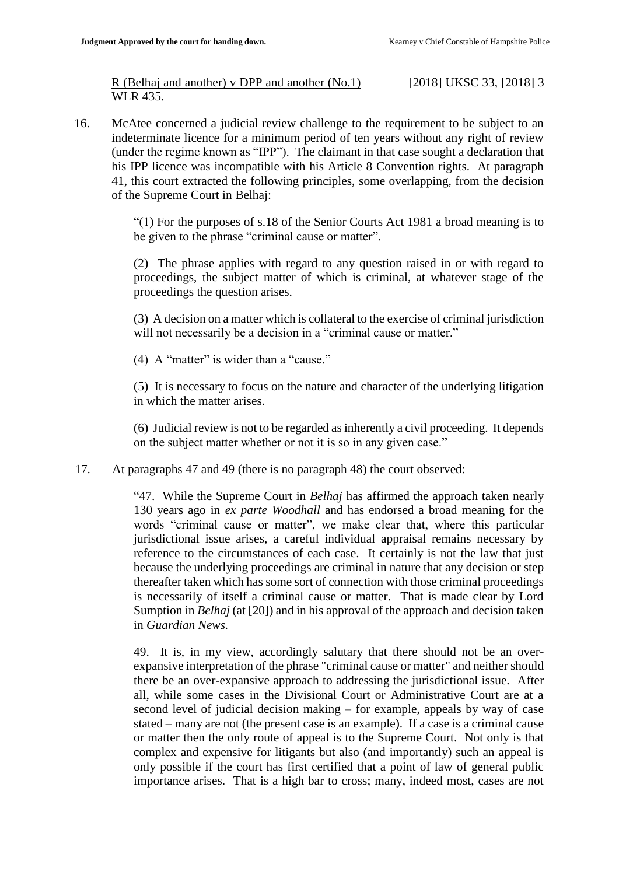R (Belhaj and another) v DPP and another (No.1) [2018] UKSC 33, [2018] 3 WLR 435.

16. McAtee concerned a judicial review challenge to the requirement to be subject to an indeterminate licence for a minimum period of ten years without any right of review (under the regime known as "IPP"). The claimant in that case sought a declaration that his IPP licence was incompatible with his Article 8 Convention rights. At paragraph 41, this court extracted the following principles, some overlapping, from the decision of the Supreme Court in Belhaj:

> "(1) For the purposes of s.18 of the Senior Courts Act 1981 a broad meaning is to be given to the phrase "criminal cause or matter".

> (2) The phrase applies with regard to any question raised in or with regard to proceedings, the subject matter of which is criminal, at whatever stage of the proceedings the question arises.

> (3) A decision on a matter which is collateral to the exercise of criminal jurisdiction will not necessarily be a decision in a "criminal cause or matter."

(4) A "matter" is wider than a "cause."

(5) It is necessary to focus on the nature and character of the underlying litigation in which the matter arises.

(6) Judicial review is not to be regarded as inherently a civil proceeding. It depends on the subject matter whether or not it is so in any given case."

17. At paragraphs 47 and 49 (there is no paragraph 48) the court observed:

"47. While the Supreme Court in *Belhaj* has affirmed the approach taken nearly 130 years ago in *ex parte Woodhall* and has endorsed a broad meaning for the words "criminal cause or matter", we make clear that, where this particular jurisdictional issue arises, a careful individual appraisal remains necessary by reference to the circumstances of each case. It certainly is not the law that just because the underlying proceedings are criminal in nature that any decision or step thereafter taken which has some sort of connection with those criminal proceedings is necessarily of itself a criminal cause or matter. That is made clear by Lord Sumption in *Belhaj* (at [20]) and in his approval of the approach and decision taken in *Guardian News.*

49. It is, in my view, accordingly salutary that there should not be an overexpansive interpretation of the phrase "criminal cause or matter" and neither should there be an over-expansive approach to addressing the jurisdictional issue. After all, while some cases in the Divisional Court or Administrative Court are at a second level of judicial decision making – for example, appeals by way of case stated – many are not (the present case is an example). If a case is a criminal cause or matter then the only route of appeal is to the Supreme Court. Not only is that complex and expensive for litigants but also (and importantly) such an appeal is only possible if the court has first certified that a point of law of general public importance arises. That is a high bar to cross; many, indeed most, cases are not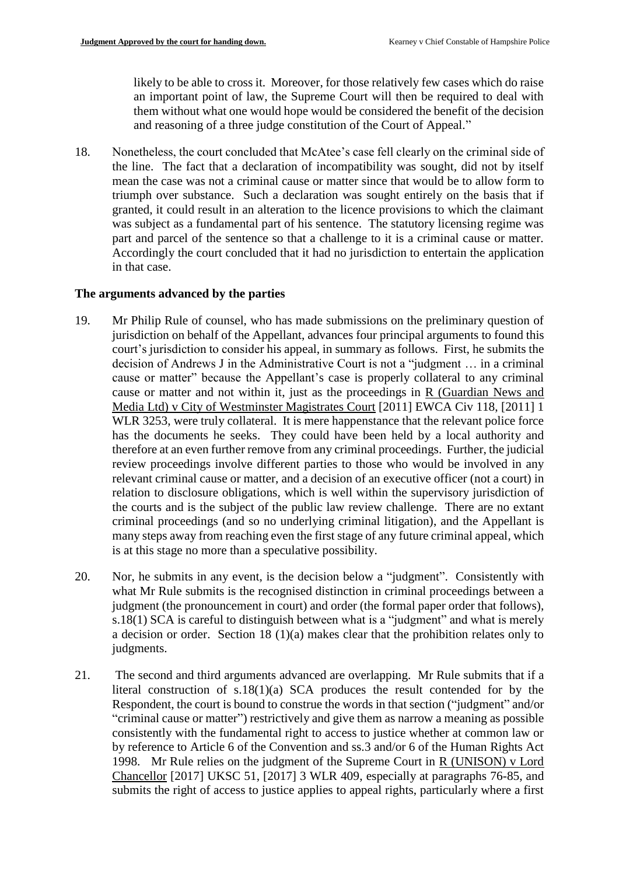likely to be able to cross it. Moreover, for those relatively few cases which do raise an important point of law, the Supreme Court will then be required to deal with them without what one would hope would be considered the benefit of the decision and reasoning of a three judge constitution of the Court of Appeal."

18. Nonetheless, the court concluded that McAtee's case fell clearly on the criminal side of the line. The fact that a declaration of incompatibility was sought, did not by itself mean the case was not a criminal cause or matter since that would be to allow form to triumph over substance. Such a declaration was sought entirely on the basis that if granted, it could result in an alteration to the licence provisions to which the claimant was subject as a fundamental part of his sentence. The statutory licensing regime was part and parcel of the sentence so that a challenge to it is a criminal cause or matter. Accordingly the court concluded that it had no jurisdiction to entertain the application in that case.

#### **The arguments advanced by the parties**

- 19. Mr Philip Rule of counsel, who has made submissions on the preliminary question of jurisdiction on behalf of the Appellant, advances four principal arguments to found this court's jurisdiction to consider his appeal, in summary as follows. First, he submits the decision of Andrews J in the Administrative Court is not a "judgment … in a criminal cause or matter" because the Appellant's case is properly collateral to any criminal cause or matter and not within it, just as the proceedings in R (Guardian News and Media Ltd) v City of Westminster Magistrates Court [2011] EWCA Civ 118, [2011] 1 WLR 3253, were truly collateral. It is mere happenstance that the relevant police force has the documents he seeks. They could have been held by a local authority and therefore at an even further remove from any criminal proceedings. Further, the judicial review proceedings involve different parties to those who would be involved in any relevant criminal cause or matter, and a decision of an executive officer (not a court) in relation to disclosure obligations, which is well within the supervisory jurisdiction of the courts and is the subject of the public law review challenge. There are no extant criminal proceedings (and so no underlying criminal litigation), and the Appellant is many steps away from reaching even the first stage of any future criminal appeal, which is at this stage no more than a speculative possibility.
- 20. Nor, he submits in any event, is the decision below a "judgment". Consistently with what Mr Rule submits is the recognised distinction in criminal proceedings between a judgment (the pronouncement in court) and order (the formal paper order that follows), s.18(1) SCA is careful to distinguish between what is a "judgment" and what is merely a decision or order. Section 18 (1)(a) makes clear that the prohibition relates only to judgments.
- 21. The second and third arguments advanced are overlapping. Mr Rule submits that if a literal construction of s.18(1)(a) SCA produces the result contended for by the Respondent, the court is bound to construe the words in that section ("judgment" and/or "criminal cause or matter") restrictively and give them as narrow a meaning as possible consistently with the fundamental right to access to justice whether at common law or by reference to Article 6 of the Convention and ss.3 and/or 6 of the Human Rights Act 1998. Mr Rule relies on the judgment of the Supreme Court in R (UNISON) v Lord Chancellor [2017] UKSC 51, [2017] 3 WLR 409, especially at paragraphs 76-85, and submits the right of access to justice applies to appeal rights, particularly where a first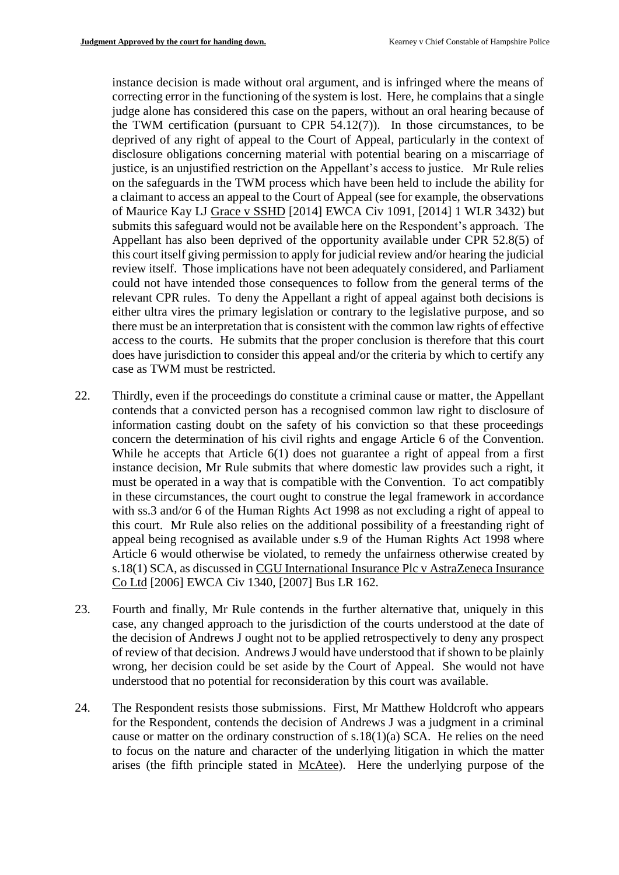instance decision is made without oral argument, and is infringed where the means of correcting error in the functioning of the system is lost. Here, he complains that a single judge alone has considered this case on the papers, without an oral hearing because of the TWM certification (pursuant to CPR  $54.12(7)$ ). In those circumstances, to be deprived of any right of appeal to the Court of Appeal, particularly in the context of disclosure obligations concerning material with potential bearing on a miscarriage of justice, is an unjustified restriction on the Appellant's access to justice. Mr Rule relies on the safeguards in the TWM process which have been held to include the ability for a claimant to access an appeal to the Court of Appeal (see for example, the observations of Maurice Kay LJ Grace v SSHD [2014] EWCA Civ 1091, [2014] 1 WLR 3432) but submits this safeguard would not be available here on the Respondent's approach. The Appellant has also been deprived of the opportunity available under CPR 52.8(5) of this court itself giving permission to apply for judicial review and/or hearing the judicial review itself. Those implications have not been adequately considered, and Parliament could not have intended those consequences to follow from the general terms of the relevant CPR rules. To deny the Appellant a right of appeal against both decisions is either ultra vires the primary legislation or contrary to the legislative purpose, and so there must be an interpretation that is consistent with the common law rights of effective access to the courts. He submits that the proper conclusion is therefore that this court does have jurisdiction to consider this appeal and/or the criteria by which to certify any case as TWM must be restricted.

- 22. Thirdly, even if the proceedings do constitute a criminal cause or matter, the Appellant contends that a convicted person has a recognised common law right to disclosure of information casting doubt on the safety of his conviction so that these proceedings concern the determination of his civil rights and engage Article 6 of the Convention. While he accepts that Article 6(1) does not guarantee a right of appeal from a first instance decision, Mr Rule submits that where domestic law provides such a right, it must be operated in a way that is compatible with the Convention. To act compatibly in these circumstances, the court ought to construe the legal framework in accordance with ss.3 and/or 6 of the Human Rights Act 1998 as not excluding a right of appeal to this court. Mr Rule also relies on the additional possibility of a freestanding right of appeal being recognised as available under s.9 of the Human Rights Act 1998 where Article 6 would otherwise be violated, to remedy the unfairness otherwise created by s.18(1) SCA, as discussed in CGU International Insurance Plc v AstraZeneca Insurance Co Ltd [2006] EWCA Civ 1340, [2007] Bus LR 162.
- 23. Fourth and finally, Mr Rule contends in the further alternative that, uniquely in this case, any changed approach to the jurisdiction of the courts understood at the date of the decision of Andrews J ought not to be applied retrospectively to deny any prospect of review of that decision. Andrews J would have understood that if shown to be plainly wrong, her decision could be set aside by the Court of Appeal. She would not have understood that no potential for reconsideration by this court was available.
- 24. The Respondent resists those submissions. First, Mr Matthew Holdcroft who appears for the Respondent, contends the decision of Andrews J was a judgment in a criminal cause or matter on the ordinary construction of s.18(1)(a) SCA. He relies on the need to focus on the nature and character of the underlying litigation in which the matter arises (the fifth principle stated in McAtee). Here the underlying purpose of the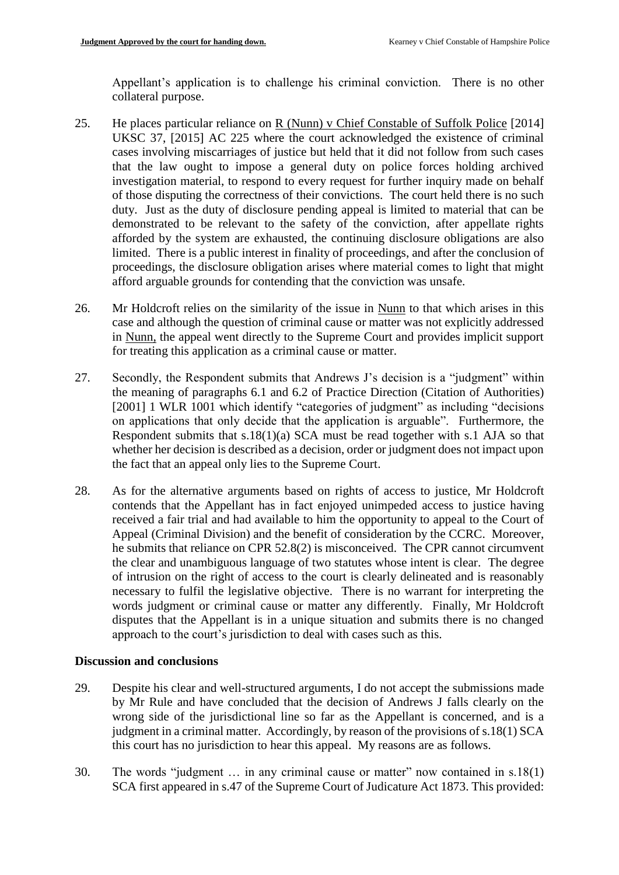Appellant's application is to challenge his criminal conviction. There is no other collateral purpose.

- 25. He places particular reliance on R (Nunn) v Chief Constable of Suffolk Police [2014] UKSC 37, [2015] AC 225 where the court acknowledged the existence of criminal cases involving miscarriages of justice but held that it did not follow from such cases that the law ought to impose a general duty on police forces holding archived investigation material, to respond to every request for further inquiry made on behalf of those disputing the correctness of their convictions. The court held there is no such duty. Just as the duty of disclosure pending appeal is limited to material that can be demonstrated to be relevant to the safety of the conviction, after appellate rights afforded by the system are exhausted, the continuing disclosure obligations are also limited. There is a public interest in finality of proceedings, and after the conclusion of proceedings, the disclosure obligation arises where material comes to light that might afford arguable grounds for contending that the conviction was unsafe.
- 26. Mr Holdcroft relies on the similarity of the issue in Nunn to that which arises in this case and although the question of criminal cause or matter was not explicitly addressed in Nunn, the appeal went directly to the Supreme Court and provides implicit support for treating this application as a criminal cause or matter.
- 27. Secondly, the Respondent submits that Andrews J's decision is a "judgment" within the meaning of paragraphs 6.1 and 6.2 of Practice Direction (Citation of Authorities) [2001] 1 WLR 1001 which identify "categories of judgment" as including "decisions on applications that only decide that the application is arguable". Furthermore, the Respondent submits that s.18(1)(a) SCA must be read together with s.1 AJA so that whether her decision is described as a decision, order or judgment does not impact upon the fact that an appeal only lies to the Supreme Court.
- 28. As for the alternative arguments based on rights of access to justice, Mr Holdcroft contends that the Appellant has in fact enjoyed unimpeded access to justice having received a fair trial and had available to him the opportunity to appeal to the Court of Appeal (Criminal Division) and the benefit of consideration by the CCRC. Moreover, he submits that reliance on CPR 52.8(2) is misconceived. The CPR cannot circumvent the clear and unambiguous language of two statutes whose intent is clear. The degree of intrusion on the right of access to the court is clearly delineated and is reasonably necessary to fulfil the legislative objective. There is no warrant for interpreting the words judgment or criminal cause or matter any differently. Finally, Mr Holdcroft disputes that the Appellant is in a unique situation and submits there is no changed approach to the court's jurisdiction to deal with cases such as this.

## **Discussion and conclusions**

- 29. Despite his clear and well-structured arguments, I do not accept the submissions made by Mr Rule and have concluded that the decision of Andrews J falls clearly on the wrong side of the jurisdictional line so far as the Appellant is concerned, and is a judgment in a criminal matter. Accordingly, by reason of the provisions of s.18(1) SCA this court has no jurisdiction to hear this appeal. My reasons are as follows.
- 30. The words "judgment … in any criminal cause or matter" now contained in s.18(1) SCA first appeared in s.47 of the Supreme Court of Judicature Act 1873. This provided: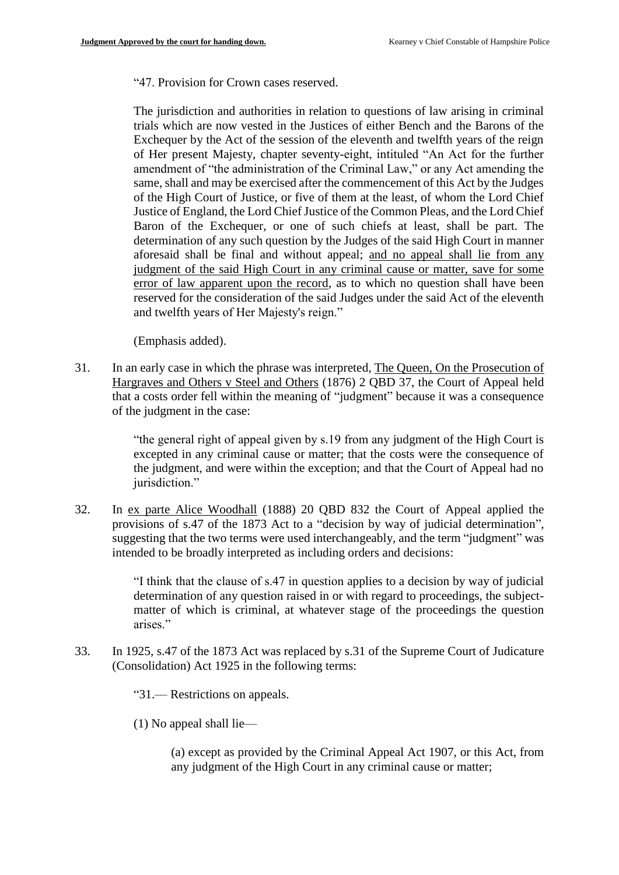"47. Provision for Crown cases reserved.

The jurisdiction and authorities in relation to questions of law arising in criminal trials which are now vested in the Justices of either Bench and the Barons of the Exchequer by the Act of the session of the eleventh and twelfth years of the reign of Her present Majesty, chapter seventy-eight, intituled "An Act for the further amendment of "the administration of the Criminal Law," or any Act amending the same, shall and may be exercised after the commencement of this Act by the Judges of the High Court of Justice, or five of them at the least, of whom the Lord Chief Justice of England, the Lord Chief Justice of the Common Pleas, and the Lord Chief Baron of the Exchequer, or one of such chiefs at least, shall be part. The determination of any such question by the Judges of the said High Court in manner aforesaid shall be final and without appeal; and no appeal shall lie from any judgment of the said High Court in any criminal cause or matter, save for some error of law apparent upon the record, as to which no question shall have been reserved for the consideration of the said Judges under the said Act of the eleventh and twelfth years of Her Majesty's reign."

(Emphasis added).

31. In an early case in which the phrase was interpreted, The Queen, On the Prosecution of Hargraves and Others v Steel and Others (1876) 2 QBD 37, the Court of Appeal held that a costs order fell within the meaning of "judgment" because it was a consequence of the judgment in the case:

> "the general right of appeal given by s.19 from any judgment of the High Court is excepted in any criminal cause or matter; that the costs were the consequence of the judgment, and were within the exception; and that the Court of Appeal had no jurisdiction."

32. In ex parte Alice Woodhall (1888) 20 QBD 832 the Court of Appeal applied the provisions of s.47 of the 1873 Act to a "decision by way of judicial determination", suggesting that the two terms were used interchangeably, and the term "judgment" was intended to be broadly interpreted as including orders and decisions:

> "I think that the clause of s.47 in question applies to a decision by way of judicial determination of any question raised in or with regard to proceedings, the subjectmatter of which is criminal, at whatever stage of the proceedings the question arises."

33. In 1925, s.47 of the 1873 Act was replaced by s.31 of the Supreme Court of Judicature (Consolidation) Act 1925 in the following terms:

"31.— Restrictions on appeals.

(1) No appeal shall lie—

(a) except as provided by the Criminal Appeal Act 1907, or this Act, from any judgment of the High Court in any criminal cause or matter;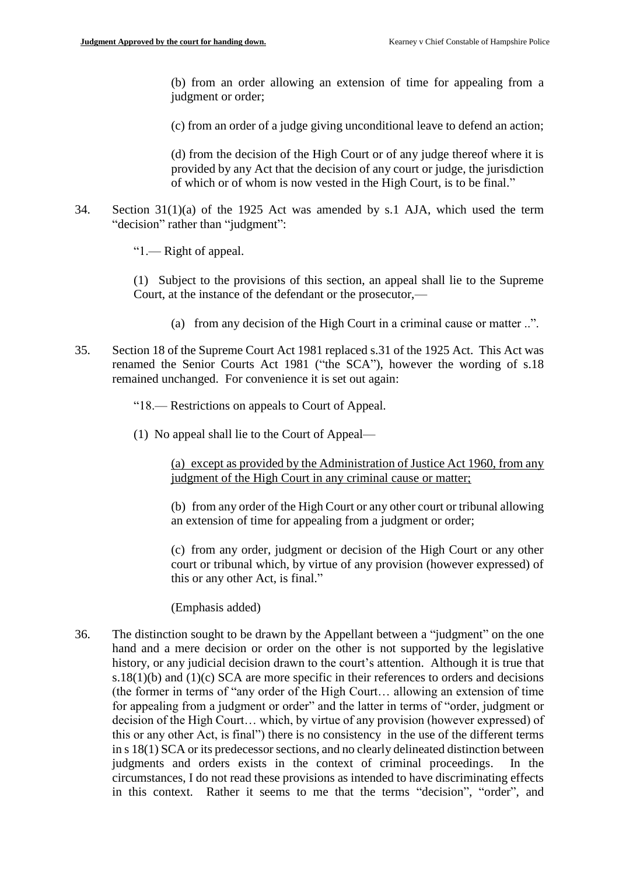(b) from an order allowing an extension of time for appealing from a judgment or order;

(c) from an order of a judge giving unconditional leave to defend an action;

(d) from the decision of the High Court or of any judge thereof where it is provided by any Act that the decision of any court or judge, the jurisdiction of which or of whom is now vested in the High Court, is to be final."

34. Section 31(1)(a) of the 1925 Act was amended by s.1 AJA, which used the term "decision" rather than "judgment":

"1.— Right of appeal.

(1) Subject to the provisions of this section, an appeal shall lie to the Supreme Court, at the instance of the defendant or the prosecutor,—

- (a) from any decision of the High Court in a criminal cause or matter ..".
- 35. Section 18 of the Supreme Court Act 1981 replaced s.31 of the 1925 Act. This Act was renamed the Senior Courts Act 1981 ("the SCA"), however the wording of s.18 remained unchanged. For convenience it is set out again:

"18.— Restrictions on appeals to Court of Appeal.

(1) No appeal shall lie to the Court of Appeal—

(a) except as provided by the Administration of Justice Act 1960, from any judgment of the High Court in any criminal cause or matter;

(b) from any order of the High Court or any other court or tribunal allowing an extension of time for appealing from a judgment or order;

(c) from any order, judgment or decision of the High Court or any other court or tribunal which, by virtue of any provision (however expressed) of this or any other Act, is final."

(Emphasis added)

36. The distinction sought to be drawn by the Appellant between a "judgment" on the one hand and a mere decision or order on the other is not supported by the legislative history, or any judicial decision drawn to the court's attention. Although it is true that s.18 $(1)(b)$  and  $(1)(c)$  SCA are more specific in their references to orders and decisions (the former in terms of "any order of the High Court… allowing an extension of time for appealing from a judgment or order" and the latter in terms of "order, judgment or decision of the High Court… which, by virtue of any provision (however expressed) of this or any other Act, is final") there is no consistency in the use of the different terms in s 18(1) SCA or its predecessor sections, and no clearly delineated distinction between judgments and orders exists in the context of criminal proceedings. In the circumstances, I do not read these provisions as intended to have discriminating effects in this context. Rather it seems to me that the terms "decision", "order", and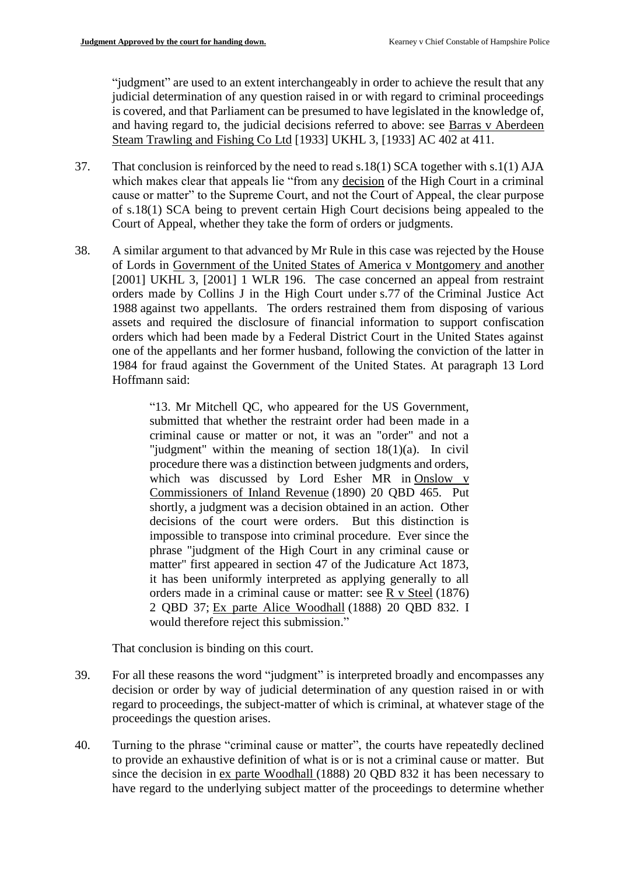"judgment" are used to an extent interchangeably in order to achieve the result that any judicial determination of any question raised in or with regard to criminal proceedings is covered, and that Parliament can be presumed to have legislated in the knowledge of, and having regard to, the judicial decisions referred to above: see Barras v Aberdeen Steam Trawling and Fishing Co Ltd [1933] UKHL 3, [1933] AC 402 at 411.

- 37. That conclusion is reinforced by the need to read s.18(1) SCA together with s.1(1) AJA which makes clear that appeals lie "from any decision of the High Court in a criminal cause or matter" to the Supreme Court, and not the Court of Appeal, the clear purpose of s.18(1) SCA being to prevent certain High Court decisions being appealed to the Court of Appeal, whether they take the form of orders or judgments.
- 38. A similar argument to that advanced by Mr Rule in this case was rejected by the House of Lords in Government of the United States of America v Montgomery and another [2001] UKHL 3, [2001] 1 WLR 196. The case concerned an appeal from restraint orders made by Collins J in the High Court under [s.77](https://www.bailii.org/uk/legis/num_act/cja1988172/s77.html) of the [Criminal Justice Act](https://www.bailii.org/uk/legis/num_act/cja1988172/)  [1988](https://www.bailii.org/uk/legis/num_act/cja1988172/) against two appellants. The orders restrained them from disposing of various assets and required the disclosure of financial information to support confiscation orders which had been made by a Federal District Court in the United States against one of the appellants and her former husband, following the conviction of the latter in 1984 for fraud against the Government of the United States. At paragraph 13 Lord Hoffmann said:

"13. Mr Mitchell QC, who appeared for the US Government, submitted that whether the restraint order had been made in a criminal cause or matter or not, it was an "order" and not a "judgment" within the meaning of section 18(1)(a). In civil procedure there was a distinction between judgments and orders, which was discussed by Lord Esher MR in Onslow v Commissioners of Inland Revenue (1890) 20 QBD 465. Put shortly, a judgment was a decision obtained in an action. Other decisions of the court were orders. But this distinction is impossible to transpose into criminal procedure. Ever since the phrase "judgment of the High Court in any criminal cause or matter" first appeared in section 47 of the Judicature Act 1873, it has been uniformly interpreted as applying generally to all orders made in a criminal cause or matter: see R v Steel (1876) 2 QBD 37; Ex parte Alice Woodhall (1888) 20 QBD 832. I would therefore reject this submission."

That conclusion is binding on this court.

- 39. For all these reasons the word "judgment" is interpreted broadly and encompasses any decision or order by way of judicial determination of any question raised in or with regard to proceedings, the subject-matter of which is criminal, at whatever stage of the proceedings the question arises.
- 40. Turning to the phrase "criminal cause or matter", the courts have repeatedly declined to provide an exhaustive definition of what is or is not a criminal cause or matter. But since the decision in ex parte Woodhall (1888) 20 QBD 832 it has been necessary to have regard to the underlying subject matter of the proceedings to determine whether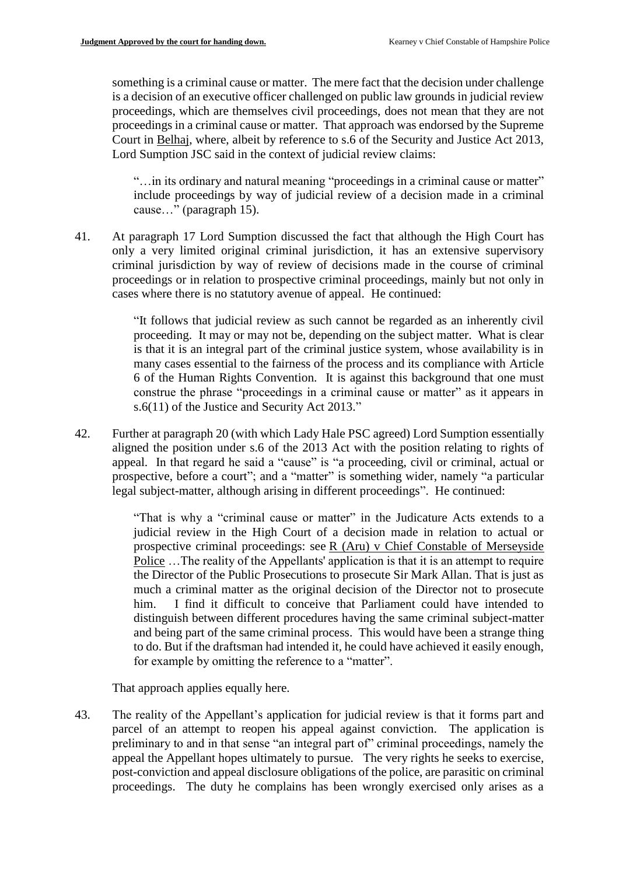something is a criminal cause or matter. The mere fact that the decision under challenge is a decision of an executive officer challenged on public law grounds in judicial review proceedings, which are themselves civil proceedings, does not mean that they are not proceedings in a criminal cause or matter. That approach was endorsed by the Supreme Court in Belhaj, where, albeit by reference to s.6 of the Security and Justice Act 2013, Lord Sumption JSC said in the context of judicial review claims:

"…in its ordinary and natural meaning "proceedings in a criminal cause or matter" include proceedings by way of judicial review of a decision made in a criminal cause…" (paragraph 15).

41. At paragraph 17 Lord Sumption discussed the fact that although the High Court has only a very limited original criminal jurisdiction, it has an extensive supervisory criminal jurisdiction by way of review of decisions made in the course of criminal proceedings or in relation to prospective criminal proceedings, mainly but not only in cases where there is no statutory avenue of appeal. He continued:

> "It follows that judicial review as such cannot be regarded as an inherently civil proceeding. It may or may not be, depending on the subject matter. What is clear is that it is an integral part of the criminal justice system, whose availability is in many cases essential to the fairness of the process and its compliance with Article 6 of the Human Rights Convention. It is against this background that one must construe the phrase "proceedings in a criminal cause or matter" as it appears in s.6(11) of the Justice and Security Act 2013."

42. Further at paragraph 20 (with which Lady Hale PSC agreed) Lord Sumption essentially aligned the position under s.6 of the 2013 Act with the position relating to rights of appeal. In that regard he said a "cause" is "a proceeding, civil or criminal, actual or prospective, before a court"; and a "matter" is something wider, namely "a particular legal subject-matter, although arising in different proceedings". He continued:

> "That is why a "criminal cause or matter" in the Judicature Acts extends to a judicial review in the High Court of a decision made in relation to actual or prospective criminal proceedings: see R (Aru) v Chief Constable of Merseyside Police …The reality of the Appellants' application is that it is an attempt to require the Director of the Public Prosecutions to prosecute Sir Mark Allan. That is just as much a criminal matter as the original decision of the Director not to prosecute him. I find it difficult to conceive that Parliament could have intended to distinguish between different procedures having the same criminal subject-matter and being part of the same criminal process. This would have been a strange thing to do. But if the draftsman had intended it, he could have achieved it easily enough, for example by omitting the reference to a "matter".

That approach applies equally here.

43. The reality of the Appellant's application for judicial review is that it forms part and parcel of an attempt to reopen his appeal against conviction. The application is preliminary to and in that sense "an integral part of" criminal proceedings, namely the appeal the Appellant hopes ultimately to pursue. The very rights he seeks to exercise, post-conviction and appeal disclosure obligations of the police, are parasitic on criminal proceedings. The duty he complains has been wrongly exercised only arises as a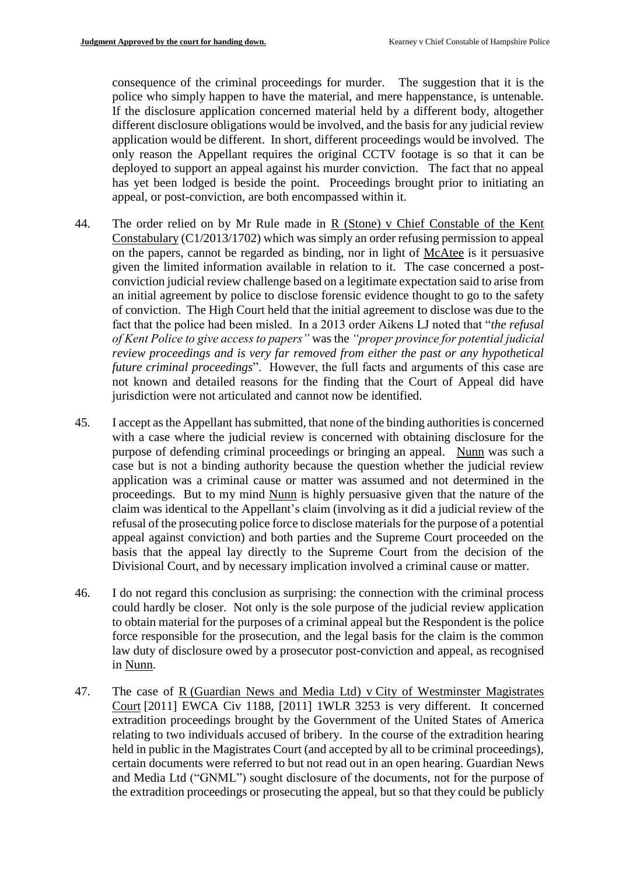consequence of the criminal proceedings for murder. The suggestion that it is the police who simply happen to have the material, and mere happenstance, is untenable. If the disclosure application concerned material held by a different body, altogether different disclosure obligations would be involved, and the basis for any judicial review application would be different. In short, different proceedings would be involved. The only reason the Appellant requires the original CCTV footage is so that it can be deployed to support an appeal against his murder conviction. The fact that no appeal has yet been lodged is beside the point. Proceedings brought prior to initiating an appeal, or post-conviction, are both encompassed within it.

- 44. The order relied on by Mr Rule made in R (Stone) v Chief Constable of the Kent Constabulary (C1/2013/1702) which was simply an order refusing permission to appeal on the papers, cannot be regarded as binding, nor in light of McAtee is it persuasive given the limited information available in relation to it. The case concerned a postconviction judicial review challenge based on a legitimate expectation said to arise from an initial agreement by police to disclose forensic evidence thought to go to the safety of conviction. The High Court held that the initial agreement to disclose was due to the fact that the police had been misled. In a 2013 order Aikens LJ noted that "*the refusal of Kent Police to give access to papers"* was the *"proper province for potential judicial review proceedings and is very far removed from either the past or any hypothetical future criminal proceedings*". However, the full facts and arguments of this case are not known and detailed reasons for the finding that the Court of Appeal did have jurisdiction were not articulated and cannot now be identified.
- 45. I accept as the Appellant has submitted, that none of the binding authorities is concerned with a case where the judicial review is concerned with obtaining disclosure for the purpose of defending criminal proceedings or bringing an appeal. Nunn was such a case but is not a binding authority because the question whether the judicial review application was a criminal cause or matter was assumed and not determined in the proceedings. But to my mind Nunn is highly persuasive given that the nature of the claim was identical to the Appellant's claim (involving as it did a judicial review of the refusal of the prosecuting police force to disclose materials for the purpose of a potential appeal against conviction) and both parties and the Supreme Court proceeded on the basis that the appeal lay directly to the Supreme Court from the decision of the Divisional Court, and by necessary implication involved a criminal cause or matter.
- 46. I do not regard this conclusion as surprising: the connection with the criminal process could hardly be closer. Not only is the sole purpose of the judicial review application to obtain material for the purposes of a criminal appeal but the Respondent is the police force responsible for the prosecution, and the legal basis for the claim is the common law duty of disclosure owed by a prosecutor post-conviction and appeal, as recognised in Nunn.
- 47. The case of R (Guardian News and Media Ltd) v City of Westminster Magistrates Court [2011] [EWCA Civ 1188,](https://www.bailii.org/ew/cases/EWCA/Civ/2011/1188.html) [2011] 1WLR 3253 is very different. It concerned extradition proceedings brought by the Government of the United States of America relating to two individuals accused of bribery. In the course of the extradition hearing held in public in the Magistrates Court (and accepted by all to be criminal proceedings), certain documents were referred to but not read out in an open hearing. Guardian News and Media Ltd ("GNML") sought disclosure of the documents, not for the purpose of the extradition proceedings or prosecuting the appeal, but so that they could be publicly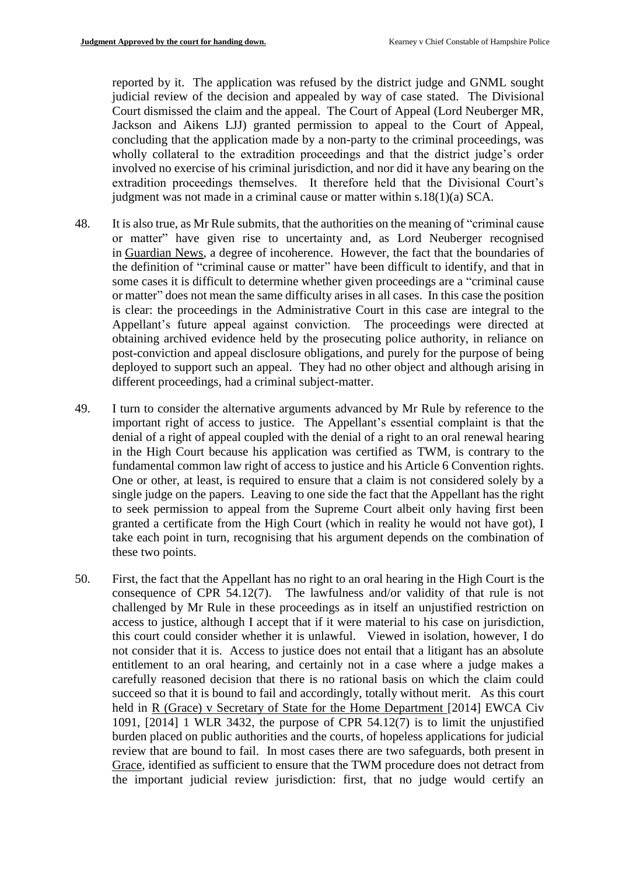reported by it. The application was refused by the district judge and GNML sought judicial review of the decision and appealed by way of case stated. The Divisional Court dismissed the claim and the appeal. The Court of Appeal (Lord Neuberger MR, Jackson and Aikens LJJ) granted permission to appeal to the Court of Appeal, concluding that the application made by a non-party to the criminal proceedings, was wholly collateral to the extradition proceedings and that the district judge's order involved no exercise of his criminal jurisdiction, and nor did it have any bearing on the extradition proceedings themselves. It therefore held that the Divisional Court's judgment was not made in a criminal cause or matter within s.18(1)(a) SCA.

- 48. It is also true, as Mr Rule submits, that the authorities on the meaning of "criminal cause or matter" have given rise to uncertainty and, as Lord Neuberger recognised in Guardian News, a degree of incoherence. However, the fact that the boundaries of the definition of "criminal cause or matter" have been difficult to identify, and that in some cases it is difficult to determine whether given proceedings are a "criminal cause or matter" does not mean the same difficulty arises in all cases. In this case the position is clear: the proceedings in the Administrative Court in this case are integral to the Appellant's future appeal against conviction. The proceedings were directed at obtaining archived evidence held by the prosecuting police authority, in reliance on post-conviction and appeal disclosure obligations, and purely for the purpose of being deployed to support such an appeal. They had no other object and although arising in different proceedings, had a criminal subject-matter.
- 49. I turn to consider the alternative arguments advanced by Mr Rule by reference to the important right of access to justice. The Appellant's essential complaint is that the denial of a right of appeal coupled with the denial of a right to an oral renewal hearing in the High Court because his application was certified as TWM, is contrary to the fundamental common law right of access to justice and his Article 6 Convention rights. One or other, at least, is required to ensure that a claim is not considered solely by a single judge on the papers. Leaving to one side the fact that the Appellant has the right to seek permission to appeal from the Supreme Court albeit only having first been granted a certificate from the High Court (which in reality he would not have got), I take each point in turn, recognising that his argument depends on the combination of these two points.
- 50. First, the fact that the Appellant has no right to an oral hearing in the High Court is the consequence of CPR 54.12(7). The lawfulness and/or validity of that rule is not challenged by Mr Rule in these proceedings as in itself an unjustified restriction on access to justice, although I accept that if it were material to his case on jurisdiction, this court could consider whether it is unlawful. Viewed in isolation, however, I do not consider that it is. Access to justice does not entail that a litigant has an absolute entitlement to an oral hearing, and certainly not in a case where a judge makes a carefully reasoned decision that there is no rational basis on which the claim could succeed so that it is bound to fail and accordingly, totally without merit. As this court held in R (Grace) v Secretary of State for the Home Department [2014] EWCA Civ 1091,  $[2014]$  1 WLR 3432, the purpose of CPR 54.12 $(7)$  is to limit the unjustified burden placed on public authorities and the courts, of hopeless applications for judicial review that are bound to fail. In most cases there are two safeguards, both present in Grace, identified as sufficient to ensure that the TWM procedure does not detract from the important judicial review jurisdiction: first, that no judge would certify an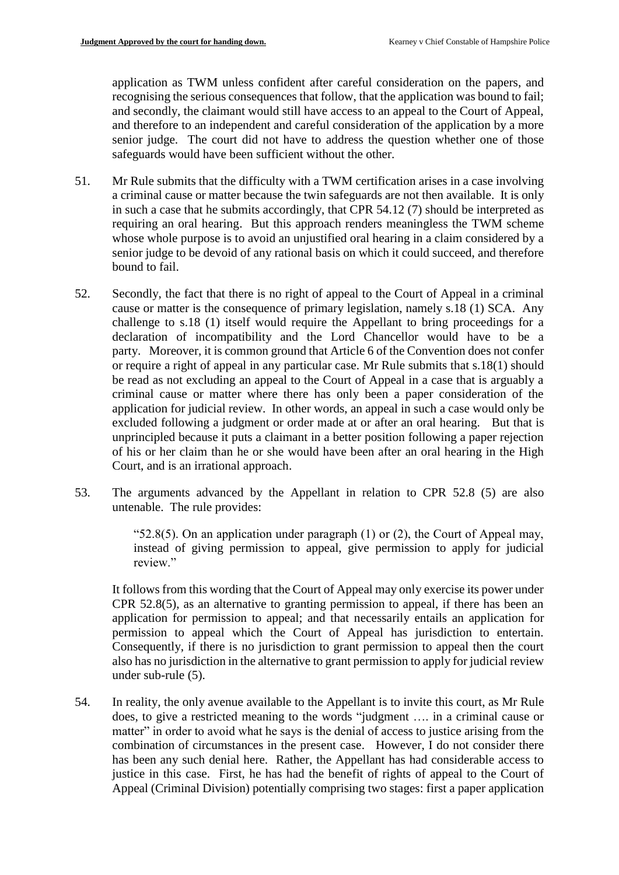application as TWM unless confident after careful consideration on the papers, and recognising the serious consequences that follow, that the application was bound to fail; and secondly, the claimant would still have access to an appeal to the Court of Appeal, and therefore to an independent and careful consideration of the application by a more senior judge. The court did not have to address the question whether one of those safeguards would have been sufficient without the other.

- 51. Mr Rule submits that the difficulty with a TWM certification arises in a case involving a criminal cause or matter because the twin safeguards are not then available. It is only in such a case that he submits accordingly, that CPR 54.12 (7) should be interpreted as requiring an oral hearing. But this approach renders meaningless the TWM scheme whose whole purpose is to avoid an unjustified oral hearing in a claim considered by a senior judge to be devoid of any rational basis on which it could succeed, and therefore bound to fail.
- 52. Secondly, the fact that there is no right of appeal to the Court of Appeal in a criminal cause or matter is the consequence of primary legislation, namely s.18 (1) SCA. Any challenge to s.18 (1) itself would require the Appellant to bring proceedings for a declaration of incompatibility and the Lord Chancellor would have to be a party. Moreover, it is common ground that Article 6 of the Convention does not confer or require a right of appeal in any particular case. Mr Rule submits that s.18(1) should be read as not excluding an appeal to the Court of Appeal in a case that is arguably a criminal cause or matter where there has only been a paper consideration of the application for judicial review. In other words, an appeal in such a case would only be excluded following a judgment or order made at or after an oral hearing. But that is unprincipled because it puts a claimant in a better position following a paper rejection of his or her claim than he or she would have been after an oral hearing in the High Court, and is an irrational approach.
- 53. The arguments advanced by the Appellant in relation to CPR 52.8 (5) are also untenable. The rule provides:

"52.8(5). On an application under paragraph  $(1)$  or  $(2)$ , the Court of Appeal may, instead of giving permission to appeal, give permission to apply for judicial review."

It follows from this wording that the Court of Appeal may only exercise its power under CPR 52.8(5), as an alternative to granting permission to appeal, if there has been an application for permission to appeal; and that necessarily entails an application for permission to appeal which the Court of Appeal has jurisdiction to entertain. Consequently, if there is no jurisdiction to grant permission to appeal then the court also has no jurisdiction in the alternative to grant permission to apply for judicial review under sub-rule (5).

54. In reality, the only avenue available to the Appellant is to invite this court, as Mr Rule does, to give a restricted meaning to the words "judgment …. in a criminal cause or matter" in order to avoid what he says is the denial of access to justice arising from the combination of circumstances in the present case. However, I do not consider there has been any such denial here. Rather, the Appellant has had considerable access to justice in this case. First, he has had the benefit of rights of appeal to the Court of Appeal (Criminal Division) potentially comprising two stages: first a paper application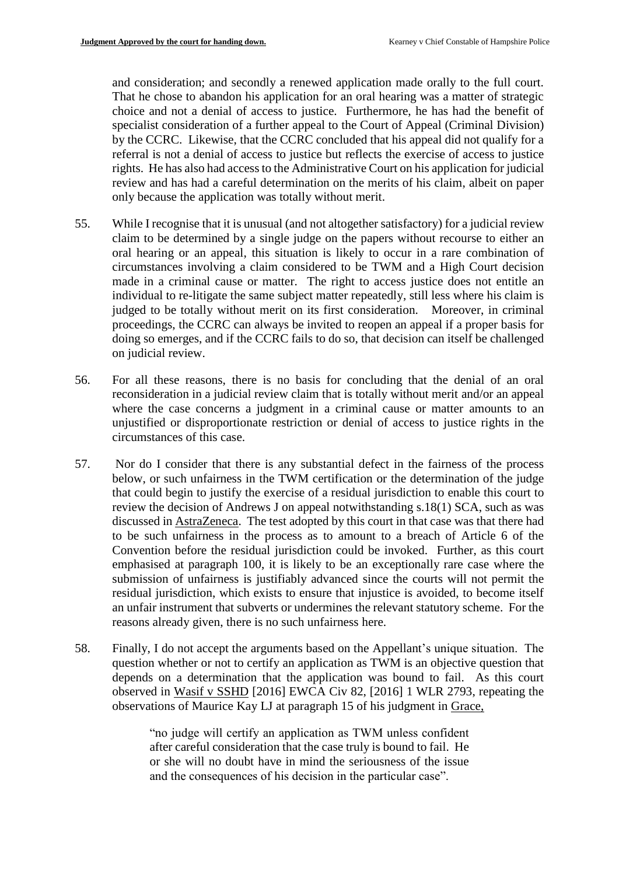and consideration; and secondly a renewed application made orally to the full court. That he chose to abandon his application for an oral hearing was a matter of strategic choice and not a denial of access to justice. Furthermore, he has had the benefit of specialist consideration of a further appeal to the Court of Appeal (Criminal Division) by the CCRC. Likewise, that the CCRC concluded that his appeal did not qualify for a referral is not a denial of access to justice but reflects the exercise of access to justice rights. He has also had access to the Administrative Court on his application for judicial review and has had a careful determination on the merits of his claim, albeit on paper only because the application was totally without merit.

- 55. While I recognise that it is unusual (and not altogether satisfactory) for a judicial review claim to be determined by a single judge on the papers without recourse to either an oral hearing or an appeal, this situation is likely to occur in a rare combination of circumstances involving a claim considered to be TWM and a High Court decision made in a criminal cause or matter. The right to access justice does not entitle an individual to re-litigate the same subject matter repeatedly, still less where his claim is judged to be totally without merit on its first consideration. Moreover, in criminal proceedings, the CCRC can always be invited to reopen an appeal if a proper basis for doing so emerges, and if the CCRC fails to do so, that decision can itself be challenged on judicial review.
- 56. For all these reasons, there is no basis for concluding that the denial of an oral reconsideration in a judicial review claim that is totally without merit and/or an appeal where the case concerns a judgment in a criminal cause or matter amounts to an unjustified or disproportionate restriction or denial of access to justice rights in the circumstances of this case.
- 57. Nor do I consider that there is any substantial defect in the fairness of the process below, or such unfairness in the TWM certification or the determination of the judge that could begin to justify the exercise of a residual jurisdiction to enable this court to review the decision of Andrews J on appeal notwithstanding s.18(1) SCA, such as was discussed in AstraZeneca. The test adopted by this court in that case was that there had to be such unfairness in the process as to amount to a breach of Article 6 of the Convention before the residual jurisdiction could be invoked. Further, as this court emphasised at paragraph 100, it is likely to be an exceptionally rare case where the submission of unfairness is justifiably advanced since the courts will not permit the residual jurisdiction, which exists to ensure that injustice is avoided, to become itself an unfair instrument that subverts or undermines the relevant statutory scheme. For the reasons already given, there is no such unfairness here.
- 58. Finally, I do not accept the arguments based on the Appellant's unique situation. The question whether or not to certify an application as TWM is an objective question that depends on a determination that the application was bound to fail. As this court observed in Wasif v SSHD [2016] EWCA Civ 82, [2016] 1 WLR 2793, repeating the observations of Maurice Kay LJ at paragraph 15 of his judgment in Grace,

"no judge will certify an application as TWM unless confident after careful consideration that the case truly is bound to fail. He or she will no doubt have in mind the seriousness of the issue and the consequences of his decision in the particular case".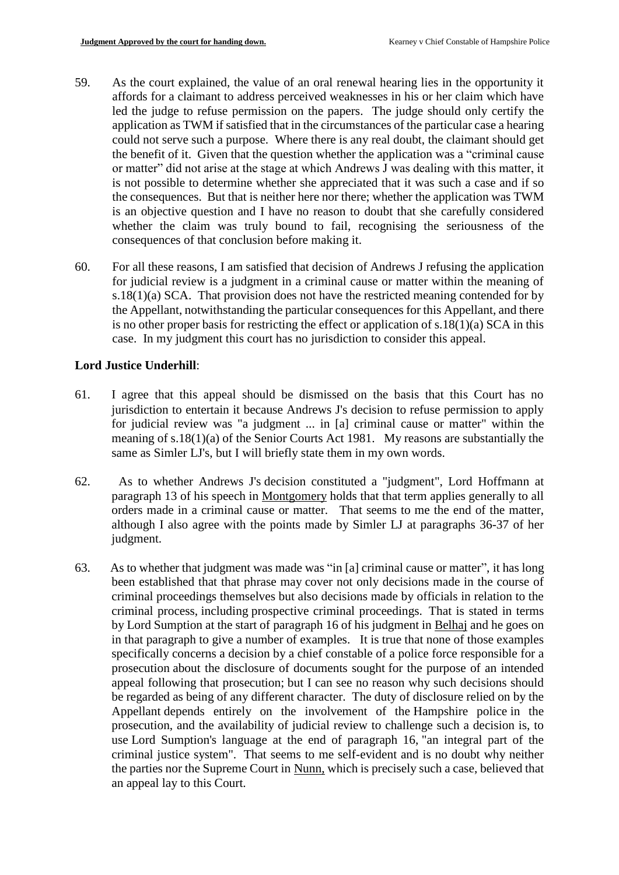- 59. As the court explained, the value of an oral renewal hearing lies in the opportunity it affords for a claimant to address perceived weaknesses in his or her claim which have led the judge to refuse permission on the papers. The judge should only certify the application as TWM if satisfied that in the circumstances of the particular case a hearing could not serve such a purpose. Where there is any real doubt, the claimant should get the benefit of it. Given that the question whether the application was a "criminal cause or matter" did not arise at the stage at which Andrews J was dealing with this matter, it is not possible to determine whether she appreciated that it was such a case and if so the consequences. But that is neither here nor there; whether the application was TWM is an objective question and I have no reason to doubt that she carefully considered whether the claim was truly bound to fail, recognising the seriousness of the consequences of that conclusion before making it.
- 60. For all these reasons, I am satisfied that decision of Andrews J refusing the application for judicial review is a judgment in a criminal cause or matter within the meaning of s.18(1)(a) SCA. That provision does not have the restricted meaning contended for by the Appellant, notwithstanding the particular consequences for this Appellant, and there is no other proper basis for restricting the effect or application of s.18(1)(a) SCA in this case. In my judgment this court has no jurisdiction to consider this appeal.

## **Lord Justice Underhill**:

- 61. I agree that this appeal should be dismissed on the basis that this Court has no jurisdiction to entertain it because Andrews J's decision to refuse permission to apply for judicial review was "a judgment ... in [a] criminal cause or matter" within the meaning of s.18(1)(a) of the Senior Courts Act 1981. My reasons are substantially the same as Simler LJ's, but I will briefly state them in my own words.
- 62. As to whether Andrews J's decision constituted a "judgment", Lord Hoffmann at paragraph 13 of his speech in Montgomery holds that that term applies generally to all orders made in a criminal cause or matter. That seems to me the end of the matter, although I also agree with the points made by Simler LJ at paragraphs 36-37 of her judgment.
- 63. As to whether that judgment was made was "in [a] criminal cause or matter", it has long been established that that phrase may cover not only decisions made in the course of criminal proceedings themselves but also decisions made by officials in relation to the criminal process, including prospective criminal proceedings. That is stated in terms by Lord Sumption at the start of paragraph 16 of his judgment in Belhaj and he goes on in that paragraph to give a number of examples. It is true that none of those examples specifically concerns a decision by a chief constable of a police force responsible for a prosecution about the disclosure of documents sought for the purpose of an intended appeal following that prosecution; but I can see no reason why such decisions should be regarded as being of any different character. The duty of disclosure relied on by the Appellant depends entirely on the involvement of the Hampshire police in the prosecution, and the availability of judicial review to challenge such a decision is, to use Lord Sumption's language at the end of paragraph 16, "an integral part of the criminal justice system". That seems to me self-evident and is no doubt why neither the parties nor the Supreme Court in Nunn, which is precisely such a case, believed that an appeal lay to this Court.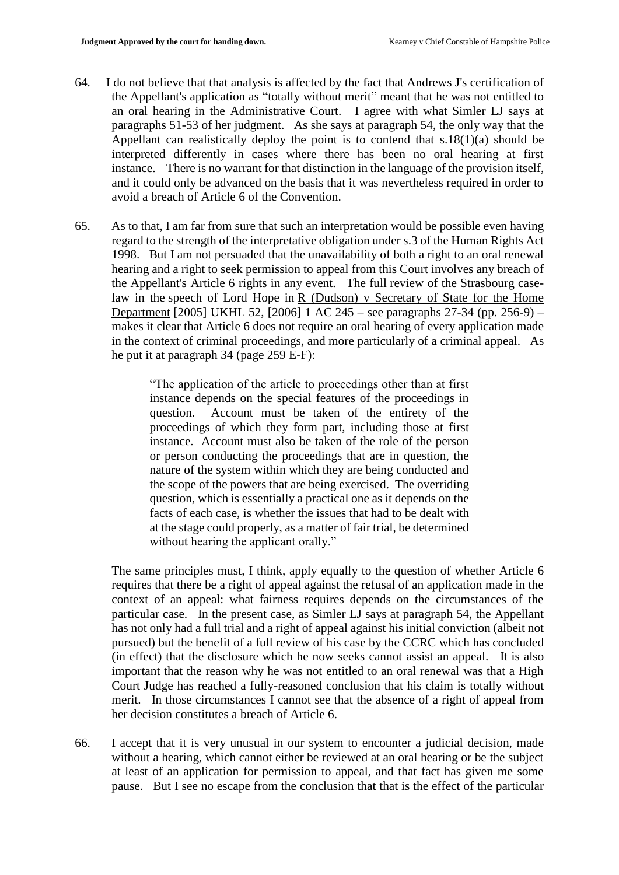- 64. I do not believe that that analysis is affected by the fact that Andrews J's certification of the Appellant's application as "totally without merit" meant that he was not entitled to an oral hearing in the Administrative Court. I agree with what Simler LJ says at paragraphs 51-53 of her judgment. As she says at paragraph 54, the only way that the Appellant can realistically deploy the point is to contend that s.18(1)(a) should be interpreted differently in cases where there has been no oral hearing at first instance. There is no warrant for that distinction in the language of the provision itself, and it could only be advanced on the basis that it was nevertheless required in order to avoid a breach of Article 6 of the Convention.
- 65. As to that, I am far from sure that such an interpretation would be possible even having regard to the strength of the interpretative obligation under s.3 of the Human Rights Act 1998. But I am not persuaded that the unavailability of both a right to an oral renewal hearing and a right to seek permission to appeal from this Court involves any breach of the Appellant's Article 6 rights in any event. The full review of the Strasbourg caselaw in the speech of Lord Hope in  $R$  (Dudson) v Secretary of State for the Home Department [2005] UKHL 52, [2006] 1 AC 245 – see paragraphs 27-34 (pp. 256-9) – makes it clear that Article 6 does not require an oral hearing of every application made in the context of criminal proceedings, and more particularly of a criminal appeal. As he put it at paragraph 34 (page 259 E-F):

"The application of the article to proceedings other than at first instance depends on the special features of the proceedings in question. Account must be taken of the entirety of the proceedings of which they form part, including those at first instance. Account must also be taken of the role of the person or person conducting the proceedings that are in question, the nature of the system within which they are being conducted and the scope of the powers that are being exercised. The overriding question, which is essentially a practical one as it depends on the facts of each case, is whether the issues that had to be dealt with at the stage could properly, as a matter of fair trial, be determined without hearing the applicant orally."

The same principles must, I think, apply equally to the question of whether Article 6 requires that there be a right of appeal against the refusal of an application made in the context of an appeal: what fairness requires depends on the circumstances of the particular case. In the present case, as Simler LJ says at paragraph 54, the Appellant has not only had a full trial and a right of appeal against his initial conviction (albeit not pursued) but the benefit of a full review of his case by the CCRC which has concluded (in effect) that the disclosure which he now seeks cannot assist an appeal. It is also important that the reason why he was not entitled to an oral renewal was that a High Court Judge has reached a fully-reasoned conclusion that his claim is totally without merit. In those circumstances I cannot see that the absence of a right of appeal from her decision constitutes a breach of Article 6.

66. I accept that it is very unusual in our system to encounter a judicial decision, made without a hearing, which cannot either be reviewed at an oral hearing or be the subject at least of an application for permission to appeal, and that fact has given me some pause. But I see no escape from the conclusion that that is the effect of the particular